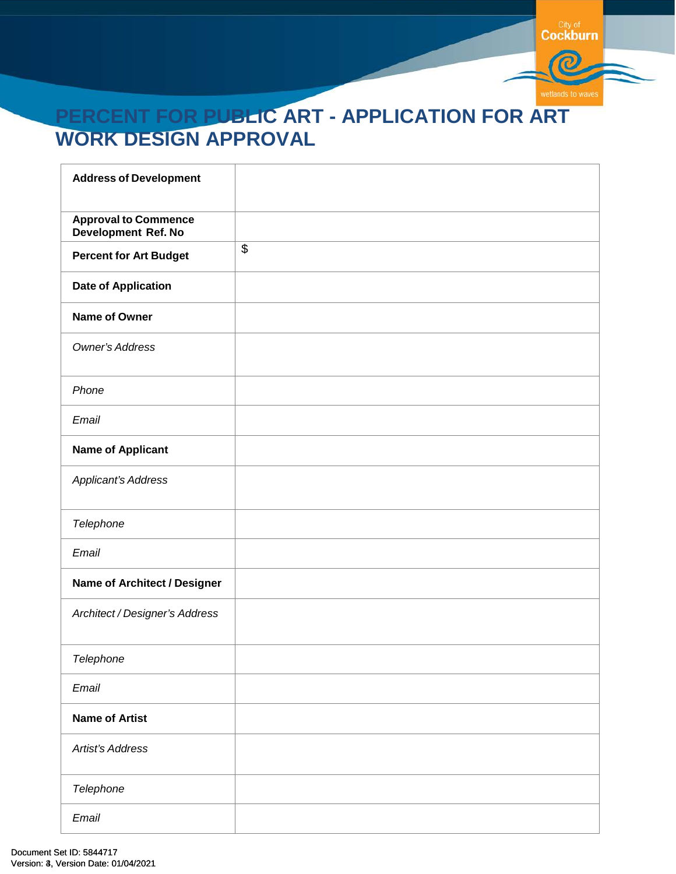

# **PERCENT FOR PUBLIC ART - APPLICATION FOR ART WORK DESIGN APPROVAL**

| <b>Address of Development</b>                      |                 |
|----------------------------------------------------|-----------------|
| <b>Approval to Commence</b><br>Development Ref. No |                 |
| <b>Percent for Art Budget</b>                      | $\overline{\$}$ |
| <b>Date of Application</b>                         |                 |
| Name of Owner                                      |                 |
| Owner's Address                                    |                 |
| Phone                                              |                 |
| Email                                              |                 |
| <b>Name of Applicant</b>                           |                 |
| Applicant's Address                                |                 |
| Telephone                                          |                 |
| Email                                              |                 |
| Name of Architect / Designer                       |                 |
| Architect / Designer's Address                     |                 |
| Telephone                                          |                 |
| Email                                              |                 |
| <b>Name of Artist</b>                              |                 |
| Artist's Address                                   |                 |
| Telephone                                          |                 |
| Email                                              |                 |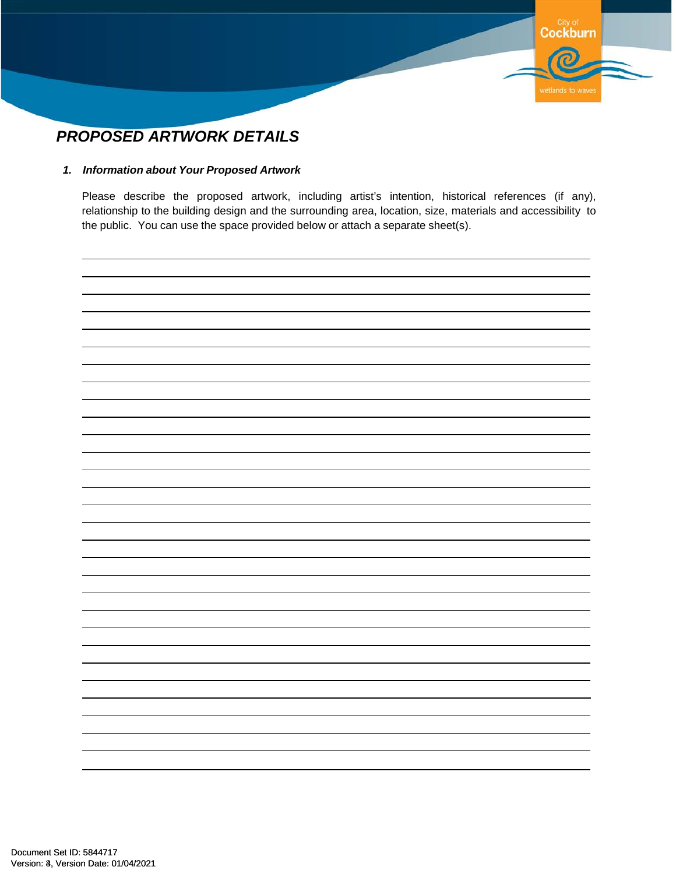

### *PROPOSED ARTWORK DETAILS*

#### *1. Information about Your Proposed Artwork*

Please describe the proposed artwork, including artist's intention, historical references (if any), relationship to the building design and the surrounding area, location, size, materials and accessibility to the public. You can use the space provided below or attach a separate sheet(s).

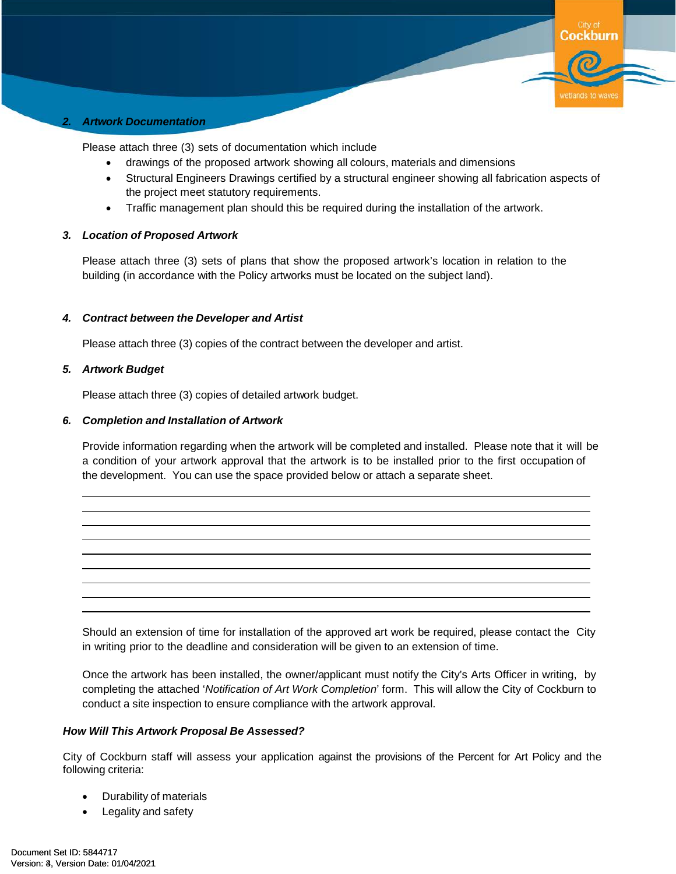

Please attach three (3) sets of documentation which include

- drawings of the proposed artwork showing all colours, materials and dimensions
- Structural Engineers Drawings certified by a structural engineer showing all fabrication aspects of the project meet statutory requirements.

**Cockburn** 

wetlands to way

• Traffic management plan should this be required during the installation of the artwork.

#### *3. Location of Proposed Artwork*

Please attach three (3) sets of plans that show the proposed artwork's location in relation to the building (in accordance with the Policy artworks must be located on the subject land).

#### *4. Contract between the Developer and Artist*

Please attach three (3) copies of the contract between the developer and artist.

#### *5. Artwork Budget*

Please attach three (3) copies of detailed artwork budget.

#### *6. Completion and Installation of Artwork*

Provide information regarding when the artwork will be completed and installed. Please note that it will be a condition of your artwork approval that the artwork is to be installed prior to the first occupation of the development. You can use the space provided below or attach a separate sheet.

Should an extension of time for installation of the approved art work be required, please contact the City in writing prior to the deadline and consideration will be given to an extension of time.

Once the artwork has been installed, the owner/applicant must notify the City's Arts Officer in writing, by completing the attached '*Notification of Art Work Completion*' form. This will allow the City of Cockburn to conduct a site inspection to ensure compliance with the artwork approval.

#### *How Will This Artwork Proposal Be Assessed?*

City of Cockburn staff will assess your application against the provisions of the Percent for Art Policy and the following criteria:

- Durability of materials
- Legality and safety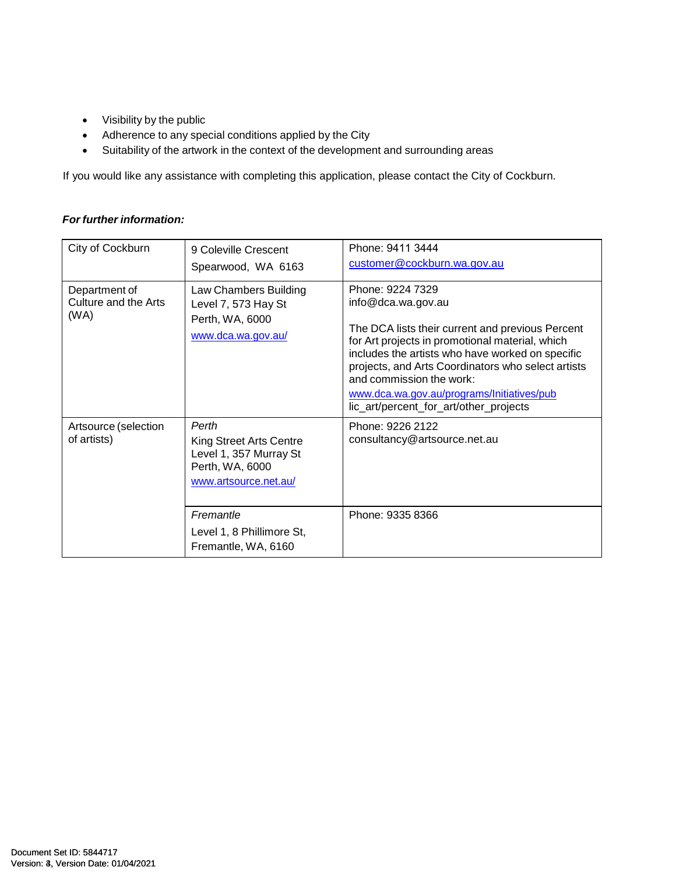- Visibility by the public
- Adherence to any special conditions applied by the City
- Suitability of the artwork in the context of the development and surrounding areas

If you would like any assistance with completing this application, please contact the City of Cockburn.

#### *For further information:*

| City of Cockburn                              | 9 Coleville Crescent<br>Spearwood, WA 6163                                                                                                                              | Phone: 9411 3444<br>customer@cockburn.wa.gov.au                                                                                                                                                                                                                                                                                                                             |
|-----------------------------------------------|-------------------------------------------------------------------------------------------------------------------------------------------------------------------------|-----------------------------------------------------------------------------------------------------------------------------------------------------------------------------------------------------------------------------------------------------------------------------------------------------------------------------------------------------------------------------|
| Department of<br>Culture and the Arts<br>(WA) | Law Chambers Building<br>Level 7, 573 Hay St<br>Perth, WA, 6000<br>www.dca.wa.gov.au/                                                                                   | Phone: 9224 7329<br>info@dca.wa.gov.au<br>The DCA lists their current and previous Percent<br>for Art projects in promotional material, which<br>includes the artists who have worked on specific<br>projects, and Arts Coordinators who select artists<br>and commission the work:<br>www.dca.wa.gov.au/programs/Initiatives/pub<br>lic_art/percent_for_art/other_projects |
| Artsource (selection<br>of artists)           | Perth<br>King Street Arts Centre<br>Level 1, 357 Murray St<br>Perth, WA, 6000<br>www.artsource.net.au/<br>Fremantle<br>Level 1, 8 Phillimore St,<br>Fremantle, WA, 6160 | Phone: 9226 2122<br>consultancy@artsource.net.au<br>Phone: 9335 8366                                                                                                                                                                                                                                                                                                        |